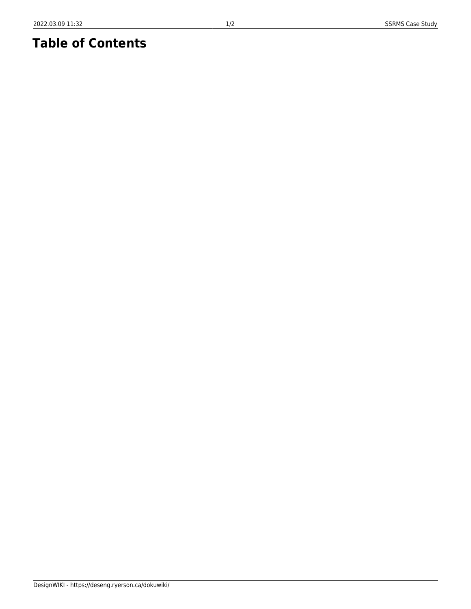## **Table of Contents**